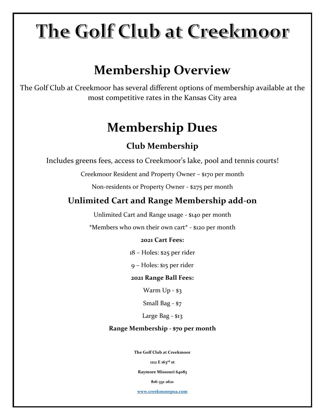# The Golf Club at Creekmoor

# **Membership Overview**

The Golf Club at Creekmoor has several different options of membership available at the most competitive rates in the Kansas City area

# **Membership Dues**

### **Club Membership**

Includes greens fees, access to Creekmoor's lake, pool and tennis courts!

Creekmoor Resident and Property Owner – \$170 per month

Non-residents or Property Owner - \$275 per month

### **Unlimited Cart and Range Membership add-on**

Unlimited Cart and Range usage - \$140 per month

\*Members who own their own cart\* - \$120 per month

### **2021 Cart Fees:**

18 – Holes: \$25 per rider

9 – Holes: \$15 per rider

### **2021 Range Ball Fees:**

Warm Up - \$3

Small Bag - \$7

Large Bag - \$13

### **Range Membership - \$70 per month**

**The Golf Club at Creekmoor** 

**1112 E 163rd st** 

**Raymore Missouri 64083**

**816-331-2621**

**[www.creekmoorpoa.com](http://www.creekmoorpoa.com/)**